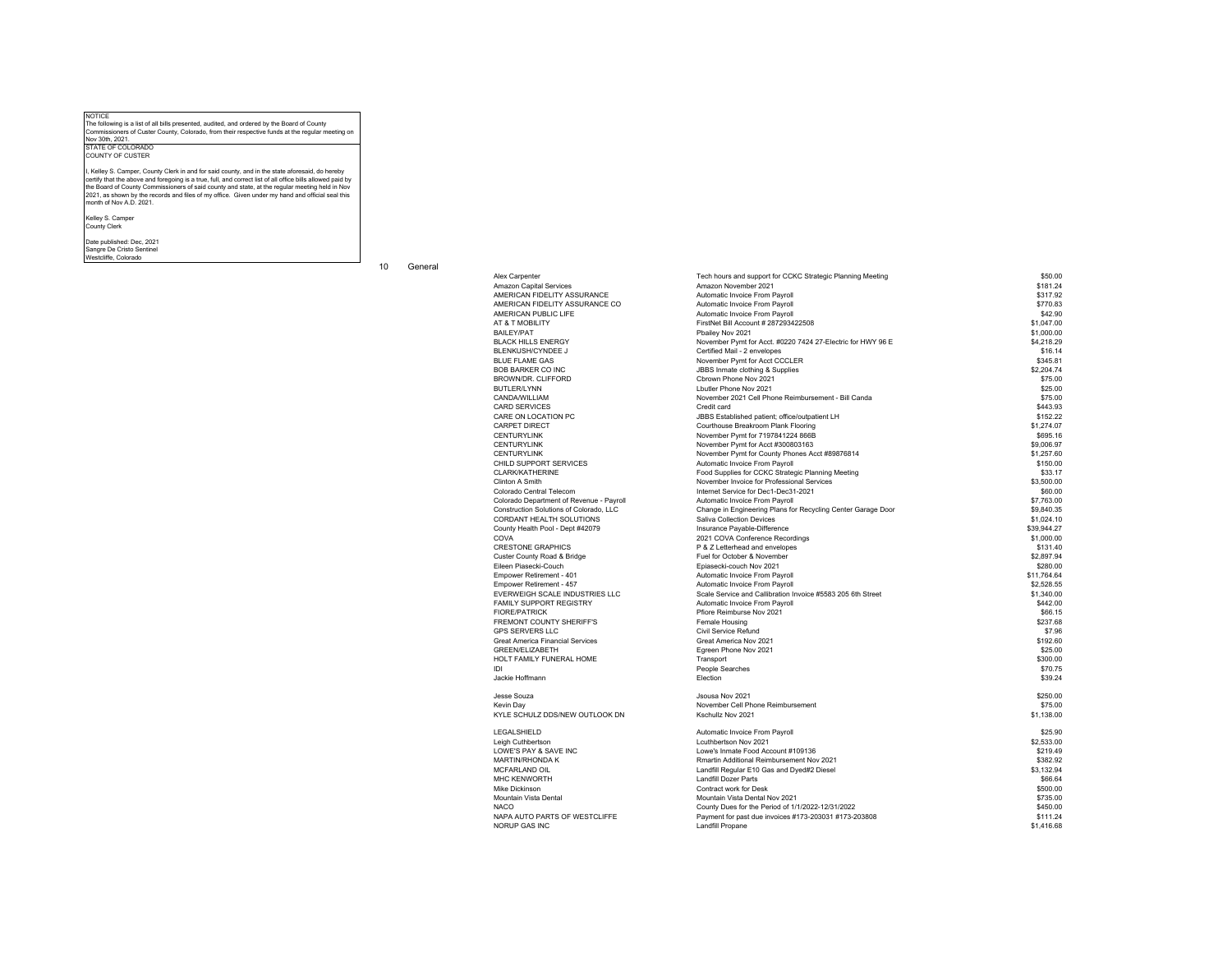NOTICE The following is a list of all bills presented, audited, and ordered by the Board of County Commissioners of Custer County, Colorado, from their respective funds at the regular meeting on Nov 30th, 2021.

STATE OF COLORADO COUNTY OF CUSTER

I, Kelley S. Camper, County Clerk in and for said county, and in the state aforesaid, do hereby certify that the above and foregoing is a true, full, and correct list of all office bills allowed paid by<br>the Board of County Commissioners of said county and state, at the regular meeting held in Nov<br>2021, as shown by th month of Nov A.D. 2021.

Kelley S. Camper County Clerk

Date published: Dec, 2021

Sangre De Cristo Sentinel Westcliffe, Colorado

10 General

| Alex Carpenter                           | Tech hours and support for CCKC Strategic Planning Meeting   | ้ 550.UU    |
|------------------------------------------|--------------------------------------------------------------|-------------|
| Amazon Capital Services                  | Amazon November 2021                                         | \$181.24    |
| AMERICAN FIDELITY ASSURANCE              | Automatic Invoice From Payroll                               | \$317.92    |
| AMERICAN FIDELITY ASSURANCE CO           | Automatic Invoice From Payroll                               | \$770.83    |
| AMERICAN PUBLIC LIFE                     | Automatic Invoice From Payroll                               | \$42.90     |
| AT & T MOBILITY                          | FirstNet Bill Account # 287293422508                         | \$1,047.00  |
| <b>BAILEY/PAT</b>                        | Pbailey Nov 2021                                             | \$1,000.00  |
| <b>BLACK HILLS ENERGY</b>                | November Pymt for Acct. #0220 7424 27-Electric for HWY 96 E  | \$4.218.29  |
| <b>BLENKUSH/CYNDEE J</b>                 | Certified Mail - 2 envelopes                                 | \$16.14     |
| <b>BLUE FLAME GAS</b>                    | November Pymt for Acct CCCLER                                | \$345.81    |
| <b>BOB BARKER CO INC</b>                 | JBBS Inmate clothing & Supplies                              | \$2,204.74  |
| BROWN/DR. CLIFFORD                       | Cbrown Phone Nov 2021                                        | \$75.00     |
| <b>BUTLER/LYNN</b>                       | I butler Phone Nov 2021                                      | \$25.00     |
| CANDA/WILLIAM                            | November 2021 Cell Phone Reimbursement - Bill Canda          | \$75.00     |
| <b>CARD SERVICES</b>                     | Credit card                                                  | \$443.93    |
| CARE ON LOCATION PC                      | JBBS Established patient; office/outpatient LH               | \$152.22    |
|                                          |                                                              | \$1,274.07  |
| CARPET DIRECT                            | Courthouse Breakroom Plank Flooring                          |             |
| <b>CENTURYLINK</b>                       | November Pymt for 7197841224 866B                            | \$695.16    |
| <b>CENTURYLINK</b>                       | November Pymt for Acct #300803163                            | \$9,006.97  |
| <b>CENTURYLINK</b>                       | November Pymt for County Phones Acct #89876814               | \$1,257.60  |
| CHILD SUPPORT SERVICES                   | Automatic Invoice From Payroll                               | \$150.00    |
| <b>CLARK/KATHERINE</b>                   | Food Supplies for CCKC Strategic Planning Meeting            | \$33.17     |
| Clinton A Smith                          | November Invoice for Professional Services                   | \$3,500.00  |
| Colorado Central Telecom                 | Internet Service for Dec1-Dec31-2021                         | \$60.00     |
| Colorado Department of Revenue - Payroll | Automatic Invoice From Payroll                               | \$7,763.00  |
| Construction Solutions of Colorado, LLC  | Change in Engineering Plans for Recycling Center Garage Door | \$9.840.35  |
| CORDANT HEALTH SOLUTIONS                 | Saliva Collection Devices                                    | \$1.024.10  |
| County Health Pool - Dept #42079         | Insurance Payable-Difference                                 | \$39.944.27 |
| COVA                                     | 2021 COVA Conference Recordings                              | \$1,000.00  |
| <b>CRESTONE GRAPHICS</b>                 | P & Z Letterhead and envelopes                               | \$131.40    |
| Custer County Road & Bridge              | Fuel for October & November                                  | \$2,897.94  |
| Eileen Piasecki-Couch                    | Epiasecki-couch Nov 2021                                     | \$280.00    |
| Empower Retirement - 401                 | Automatic Invoice From Payroll                               | \$11.764.64 |
| Empower Retirement - 457                 | Automatic Invoice From Payroll                               | \$2,528.55  |
| EVERWEIGH SCALE INDUSTRIES LLC           | Scale Service and Callibration Invoice #5583 205 6th Street  | \$1,340.00  |
| FAMILY SUPPORT REGISTRY                  | Automatic Invoice From Payroll                               | \$442.00    |
| <b>FIORE/PATRICK</b>                     | Pfiore Reimburse Nov 2021                                    | \$66.15     |
| <b>FREMONT COUNTY SHERIFF'S</b>          | Female Housing                                               | \$237.68    |
| <b>GPS SERVERS LLC</b>                   | Civil Service Refund                                         | \$7.96      |
| <b>Great America Financial Services</b>  | Great America Nov 2021                                       | \$192.60    |
| <b>GREEN/ELIZABETH</b>                   | Egreen Phone Nov 2021                                        | \$25.00     |
| HOLT FAMILY FUNERAL HOME                 | Transport                                                    | \$300.00    |
| IDI                                      | People Searches                                              | \$70.75     |
|                                          | Election                                                     |             |
| Jackie Hoffmann                          |                                                              | \$39.24     |
| Jesse Souza                              | Jsousa Nov 2021                                              | \$250.00    |
| Kevin Day                                | November Cell Phone Reimbursement                            | \$75.00     |
| KYLE SCHULZ DDS/NEW OUTLOOK DN           | Kschullz Nov 2021                                            | \$1,138.00  |
| LEGALSHIELD                              |                                                              | \$25.90     |
|                                          | Automatic Invoice From Payroll                               |             |
| Leigh Cuthbertson                        | Lcuthbertson Nov 2021                                        | \$2,533.00  |
| LOWE'S PAY & SAVE INC                    | Lowe's Inmate Food Account #109136                           | \$219.49    |
| MARTIN/RHONDA K                          | Rmartin Additional Reimbursement Nov 2021                    | \$382.92    |
| MCFARLAND OIL                            | Landfill Regular E10 Gas and Dyed#2 Diesel                   | \$3.132.94  |
| <b>MHC KENWORTH</b>                      | <b>Landfill Dozer Parts</b>                                  | \$66.64     |
| Mike Dickinson                           | Contract work for Desk                                       | \$500.00    |
| Mountain Vista Dental                    | Mountain Vista Dental Nov 2021                               | \$735.00    |
| <b>NACO</b>                              | County Dues for the Period of 1/1/2022-12/31/2022            | \$450.00    |
| NAPA AUTO PARTS OF WESTCLIFFE            | Payment for past due invoices #173-203031 #173-203808        | \$111.24    |
| <b>NORUP GAS INC</b>                     | Landfill Propane                                             | \$1,416.68  |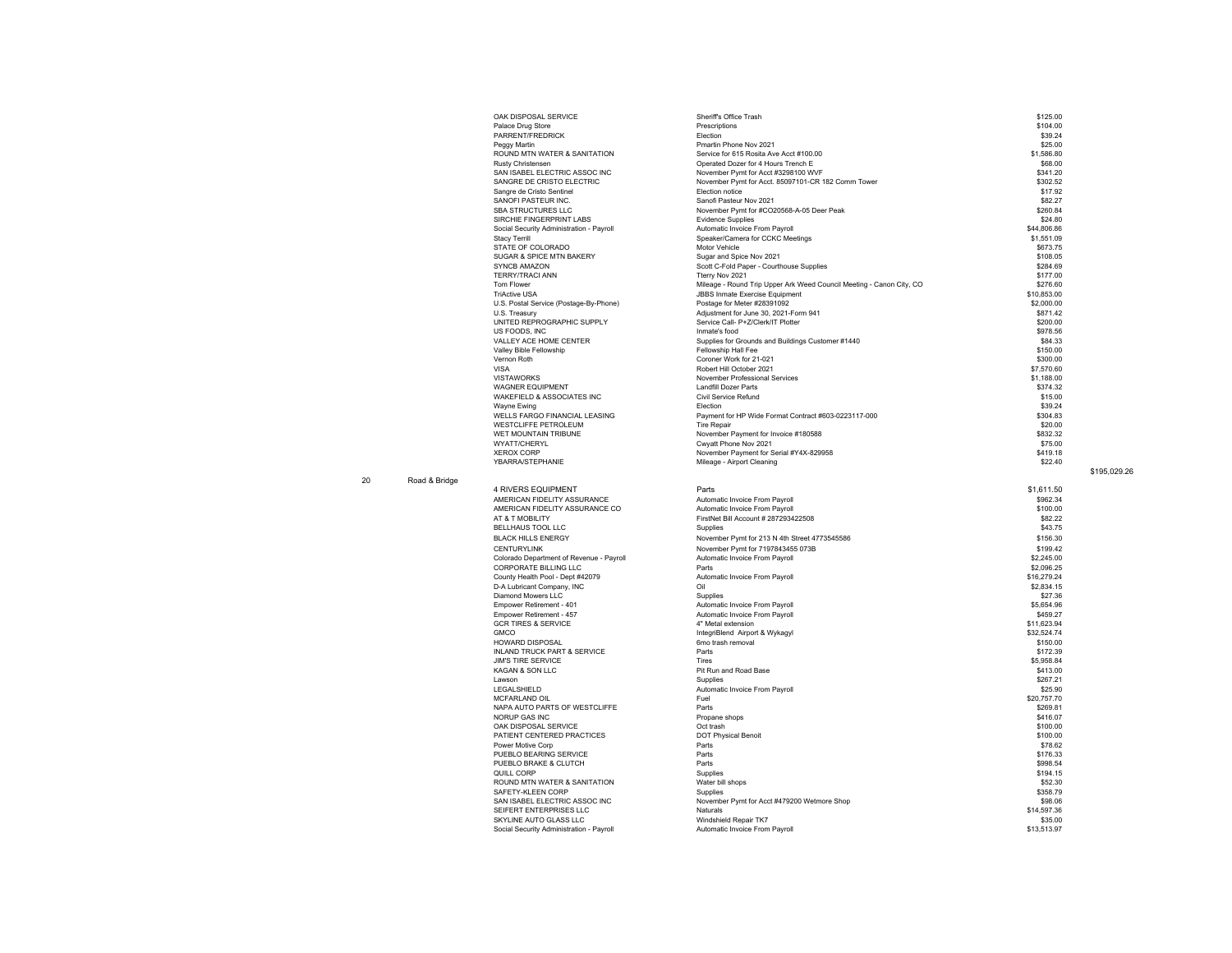| OAK DISPOSAL SERVICE                     | Sheriff's Office Trash                                               | \$125.00    |
|------------------------------------------|----------------------------------------------------------------------|-------------|
| Palace Drug Store                        | Prescriptions                                                        | \$104.00    |
| PARRENT/FREDRICK                         | Election                                                             | \$39.24     |
| Peggy Martin                             | Pmartin Phone Nov 2021                                               | \$25.00     |
| ROUND MTN WATER & SANITATION             | Service for 615 Rosita Ave Acct #100.00                              | \$1,586.80  |
| <b>Rusty Christensen</b>                 | Operated Dozer for 4 Hours Trench E                                  | \$68.00     |
| SAN ISABEL ELECTRIC ASSOC INC            | November Pymt for Acct #3298100 WVF                                  | \$341.20    |
| SANGRE DE CRISTO ELECTRIC                | November Pymt for Acct. 85097101-CR 182 Comm Tower                   | \$302.52    |
| Sangre de Cristo Sentinel                | Flection notice                                                      | \$17.92     |
| SANOFI PASTEUR INC.                      | Sanofi Pasteur Nov 2021                                              | \$82.27     |
| <b>SBA STRUCTURES LLC</b>                | November Pymt for #CO20568-A-05 Deer Peak                            | \$260.84    |
| SIRCHIE FINGERPRINT LABS                 | <b>Evidence Supplies</b>                                             | \$24.80     |
| Social Security Administration - Payroll | Automatic Invoice From Payroll                                       | \$44,806.86 |
| <b>Stacy Terrill</b>                     | Speaker/Camera for CCKC Meetings                                     | \$1,551.09  |
| STATE OF COLORADO                        | Motor Vehicle                                                        | \$673.75    |
| <b>SUGAR &amp; SPICE MTN BAKERY</b>      | Sugar and Spice Nov 2021                                             | \$108.05    |
| <b>SYNCB AMAZON</b>                      | Scott C-Fold Paper - Courthouse Supplies                             | \$284.69    |
| <b>TERRY/TRACI ANN</b>                   | Tterry Nov 2021                                                      | \$177.00    |
| <b>Tom Flower</b>                        | Mileage - Round Trip Upper Ark Weed Council Meeting - Canon City, CO | \$276.60    |
| <b>TriActive USA</b>                     | <b>JBBS Inmate Exercise Equipment</b>                                | \$10,853.00 |
| U.S. Postal Service (Postage-By-Phone)   | Postage for Meter #28391092                                          | \$2,000.00  |
| U.S. Treasury                            | Adjustment for June 30, 2021-Form 941                                | \$871.42    |
| UNITED REPROGRAPHIC SUPPLY               | Service Call- P+Z/Clerk/IT Plotter                                   | \$200.00    |
| US FOODS. INC                            | Inmate's food                                                        | \$978.56    |
| VALLEY ACE HOME CENTER                   | Supplies for Grounds and Buildings Customer #1440                    | \$84.33     |
| Valley Bible Fellowship                  | Fellowship Hall Fee                                                  | \$150.00    |
| Vernon Roth                              | Coroner Work for 21-021                                              | \$300.00    |
| <b>VISA</b>                              | Robert Hill October 2021                                             | \$7,570.60  |
| <b>VISTAWORKS</b>                        | November Professional Services                                       | \$1,188.00  |
| <b>WAGNER EQUIPMENT</b>                  | Landfill Dozer Parts                                                 | \$374.32    |
| WAKEFIELD & ASSOCIATES INC               | Civil Service Refund                                                 | \$15.00     |
| Wayne Ewing                              | Flection                                                             | \$39.24     |
| <b>WELLS FARGO FINANCIAL LEASING</b>     | Payment for HP Wide Format Contract #603-0223117-000                 | \$304.83    |
| <b>WESTCLIFFE PETROLEUM</b>              | <b>Tire Repair</b>                                                   | \$20.00     |
| WET MOUNTAIN TRIBUNE                     | November Payment for Invoice #180588                                 | \$832.32    |
| <b>WYATT/CHERYL</b>                      | Cwyatt Phone Nov 2021                                                | \$75.00     |
| <b>XEROX CORP</b>                        | November Payment for Serial #Y4X-829958                              | \$419.18    |
| YBARRA/STEPHANIE                         | Mileage - Airport Cleaning                                           | \$22.40     |
|                                          |                                                                      |             |
|                                          |                                                                      |             |
| <b>4 RIVERS EQUIPMENT</b>                | Parts                                                                | \$1.611.50  |
| AMERICAN FIDELITY ASSURANCE              | Automatic Invoice From Payroll                                       | \$962.34    |
| AMERICAN FIDELITY ASSURANCE CO           | Automatic Invoice From Payroll                                       | \$100.00    |
| AT & T MOBILITY                          | FirstNet Bill Account # 287293422508                                 | \$82.22     |
| <b>BELLHAUS TOOL LLC</b>                 | Supplies                                                             | \$43.75     |
|                                          |                                                                      |             |
| <b>BLACK HILLS ENERGY</b>                | November Pymt for 213 N 4th Street 4773545586                        | \$156.30    |
| <b>CENTURYLINK</b>                       | November Pymt for 7197843455 073B                                    | \$199.42    |
| Colorado Department of Revenue - Payroll | Automatic Invoice From Payroll                                       | \$2,245.00  |
| <b>CORPORATE BILLING LLC</b>             | Parts                                                                | \$2.096.25  |
| County Health Pool - Dept #42079         | Automatic Invoice From Payroll                                       | \$16,279.24 |
| D-A Lubricant Company, INC               | Oil                                                                  | \$2.834.15  |

Automatic Invoice From Payroll **6459.27**<br>4" Metal extension **6459.27** Automatic Involvement of the State of State State State State State State State State State State State State State State State State State State State

IntegriBlend Airport & Wykagyl \$32,524.74<br>Gmo trash removal \$150.00

November Pymt for Acct #479200 Wetmore Shop \$98.06<br>Naturals \$14.597.36

20 Road & Bridge

AMERICAN FIDELITY AMERICAN FIDELITY<br>AT & T MOBILITY BELLHAUS TOOL LLC BLACK HILLS ENERGY Colorado Department o CORPORATE BILLING D-A Lubricant Company, INC S2,834.15<br>
Diamond Mowers LLC<br>
Empower Retirement - 401 Supplies Automatic Invoice From Payroll<br>
S5,654.96 Stratement - 401 S5,654.96 Diamond Mowers LLC<br>Empower Retirement - 401 Empower Retirement - 401 **First Construct Construct Construct Construct Construct Construct Construct Construct**<br>
Empower Retirement - 401 **Automatic Invoice From Payroll Construct Construct Construct Construct Construct** GCR TIRES & SERVICE<br>GCR TIRES & SERVICE 4.1.1.623.94<br>GMCO 4.1.1.623.94<br>GMCO 4.1.1.623.94 Integrißlend Airport & Wykagyl ة المستقدمة المستقدمة المستقدمة المستقدمة المستقدمة المستقدمة المستقدمة المستقدمة المستقدمة المستقدمة المستقدمة<br>60.000 6mo trash removal<br>8172.39 6172.39 Parts INLAND TRUCK PART & SERVICE<br>
INLAND TRUCK PART & SERVICE<br>
INNS TIRE SERVICE TIRES S5.958.84<br>
S5.958.84<br>
S5.958.84<br>
S5.958.84 The Service Control of the Control of the Service Control of the Service Control of the Service Control of the Service Control of the Service Control of the Service Control of the Service Control of the Service Control of en van de versieweld aan die versies van die versies van die versies van die versies van die versies van die versies<br>Bind af die versies van die versies van die versies van die versies van die versies van die versies van Lawson Supplies \$267.21 LEGALSHIELD Automatic Invoice From Payroll \$25.90 MCFARLAND OIL S20,757.70<br>
MAPA AUTO PARTS OF WESTCLIFFE Parts Parts Parts Parts (1990) Parts (1990) Parts (1990) NAPA AUTO PARTS OF WESTCLIFFE FOR THE PARTS OF WESTCLIFFE FOR THE PARTS OF WESTCLIFFE PARTS OF WESTCLIFFE PART<br>NORUP GAS INC PARTS OF WESTCLIFFE PARTS Propane shops and propane shops that the Propane shops of the S269.81<br>\$ NORUP GAS INC \$416.07<br>
OAK DISPOSAL SERVICE FOR A STOO.00<br>
OOK TO SPOSAL SERVICE STOO.00 OAK DISPOSAL SERVICE Oct trash \$100.00 PATIENT CENTERED PRACTICES **DESITY OF PHYSICAL Benoit** Benoit **Benoit** According to the St00.00 of Physical Benoit \$100.000 Power Motive Corp \$78.62 Power Motive Corp \$78.62 \$78.62<br>PUEBLO BEARING SERVICE \$176.33 \$176.33 Parts \$176.33 PUEBLO BEARING \$176.33 PUEBLO BRAKE & CLUTCH **Parts** Parts **PUEBLO BRAKE & CLUTCH** \$998.54<br>  $\frac{1}{2}$  QUILL CORP QUILL CORP Supplies \$194.15 NATER & SANITATION FOR THE SANITATION SEE THE SUPERFIELD OF SECTION OF SANITATION SEE SANITATION SEE SANITATION<br>SAFETY-KLEEN CORP \$52.30 Next to the contract of the contract of the contract of the contract of the contract of the contract of the contract of the contract of the contract of the contract of the contract of the contract of the contract of the c SEIFERT ENTERPRISES LLC **CONTROL** NATURE IS THE CONTROL OF THE CONTROL OF SEIFERT ENTERPRISES LLC **S14,597.36**<br>SKYLINE AUTO GLASS LLC **Naturals Windshield Repair TK7** 335.00 SKYLINE AUTO GLASS LLC CONSULTED THE CONSULTED THE CONSULTED ON THE CONSULTED ON A SASS OF THE CONSULTED AND STRUMENT ON A SASS OF THE CONSULTED AND STRUMENT ON A SASS OF THE CONSULTED AND STRUMENT ON A SASS OF THE CONSULT Social Security Administration - Payroll

\$195,029.26